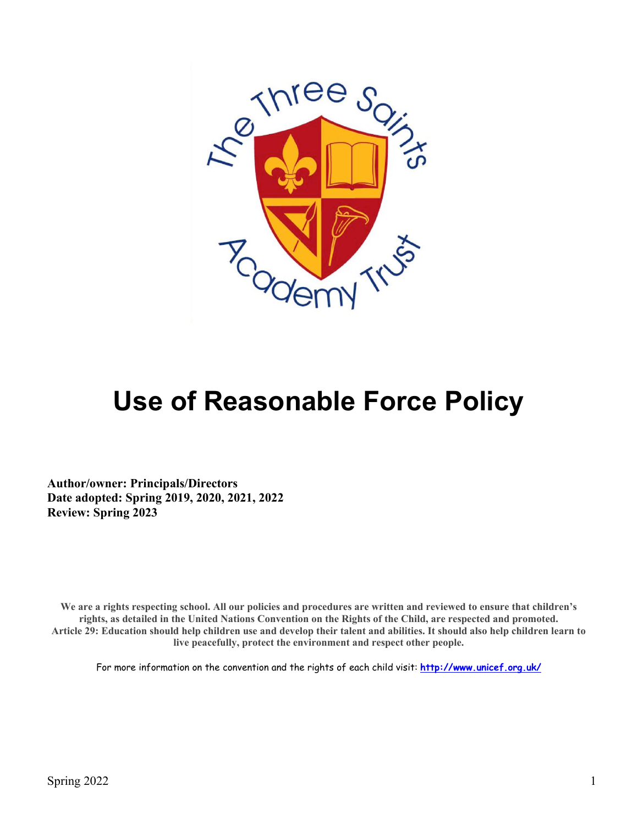

# **Use of Reasonable Force Policy**

**Author/owner: Principals/Directors Date adopted: Spring 2019, 2020, 2021, 2022 Review: Spring 2023**

We are a rights respecting school. All our policies and procedures are written and reviewed to ensure that children's **rights, as detailed in the United Nations Convention on the Rights of the Child, are respected and promoted. Article 29: Education should help children use and develop their talent and abilities. It should also help children learn to live peacefully, protect the environment and respect other people.**

For more information on the convention and the rights of each child visit: **<http://www.unicef.org.uk/>**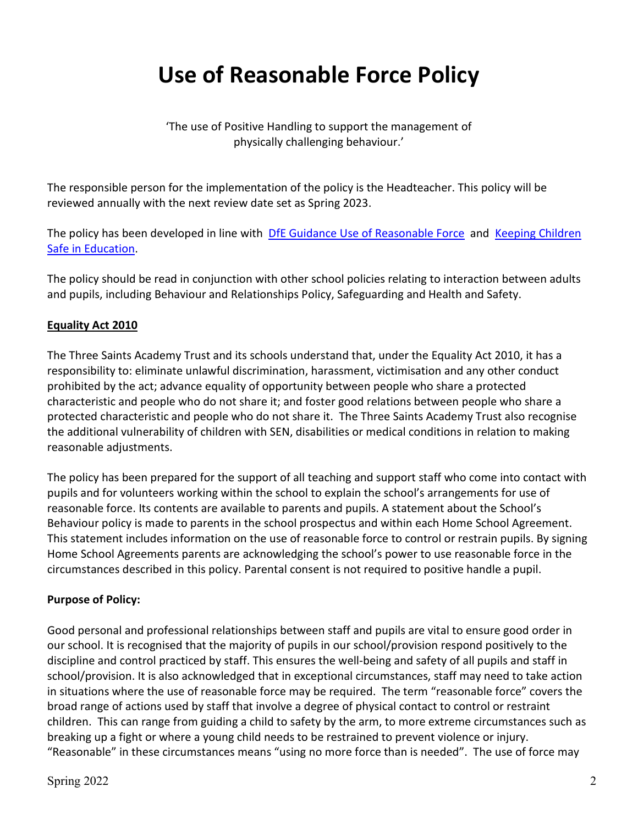## **Use of Reasonable Force Policy**

'The use of Positive Handling to support the management of physically challenging behaviour.'

The responsible person for the implementation of the policy is the Headteacher. This policy will be reviewed annually with the next review date set as Spring 2023.

The policy has been developed in line with [DfE Guidance Use of Reasonable Force](https://assets.publishing.service.gov.uk/government/uploads/system/uploads/attachment_data/file/444051/Use_of_reasonable_force_advice_Reviewed_July_2015.pdf) and Keeping Children [Safe in Education.](https://assets.publishing.service.gov.uk/government/uploads/system/uploads/attachment_data/file/1021914/KCSIE_2021_September_guidance.pdf)

The policy should be read in conjunction with other school policies relating to interaction between adults and pupils, including Behaviour and Relationships Policy, Safeguarding and Health and Safety.

#### **Equality Act 2010**

The Three Saints Academy Trust and its schools understand that, under the Equality Act 2010, it has a responsibility to: eliminate unlawful discrimination, harassment, victimisation and any other conduct prohibited by the act; advance equality of opportunity between people who share a protected characteristic and people who do not share it; and foster good relations between people who share a protected characteristic and people who do not share it. The Three Saints Academy Trust also recognise the additional vulnerability of children with SEN, disabilities or medical conditions in relation to making reasonable adjustments.

The policy has been prepared for the support of all teaching and support staff who come into contact with pupils and for volunteers working within the school to explain the school's arrangements for use of reasonable force. Its contents are available to parents and pupils. A statement about the School's Behaviour policy is made to parents in the school prospectus and within each Home School Agreement. This statement includes information on the use of reasonable force to control or restrain pupils. By signing Home School Agreements parents are acknowledging the school's power to use reasonable force in the circumstances described in this policy. Parental consent is not required to positive handle a pupil.

#### **Purpose of Policy:**

Good personal and professional relationships between staff and pupils are vital to ensure good order in our school. It is recognised that the majority of pupils in our school/provision respond positively to the discipline and control practiced by staff. This ensures the well-being and safety of all pupils and staff in school/provision. It is also acknowledged that in exceptional circumstances, staff may need to take action in situations where the use of reasonable force may be required. The term "reasonable force" covers the broad range of actions used by staff that involve a degree of physical contact to control or restraint children. This can range from guiding a child to safety by the arm, to more extreme circumstances such as breaking up a fight or where a young child needs to be restrained to prevent violence or injury. "Reasonable" in these circumstances means "using no more force than is needed". The use of force may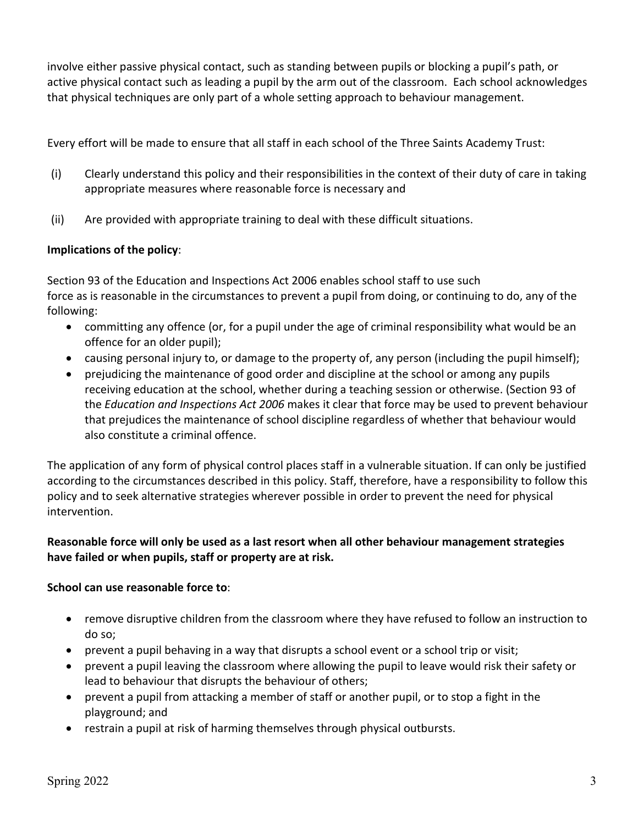involve either passive physical contact, such as standing between pupils or blocking a pupil's path, or active physical contact such as leading a pupil by the arm out of the classroom. Each school acknowledges that physical techniques are only part of a whole setting approach to behaviour management.

Every effort will be made to ensure that all staff in each school of the Three Saints Academy Trust:

- (i) Clearly understand this policy and their responsibilities in the context of their duty of care in taking appropriate measures where reasonable force is necessary and
- (ii) Are provided with appropriate training to deal with these difficult situations.

#### **Implications of the policy**:

Section 93 of the Education and Inspections Act 2006 enables school staff to use such force as is reasonable in the circumstances to prevent a pupil from doing, or continuing to do, any of the following:

- committing any offence (or, for a pupil under the age of criminal responsibility what would be an offence for an older pupil);
- causing personal injury to, or damage to the property of, any person (including the pupil himself);
- prejudicing the maintenance of good order and discipline at the school or among any pupils receiving education at the school, whether during a teaching session or otherwise. (Section 93 of the *Education and Inspections Act 2006* makes it clear that force may be used to prevent behaviour that prejudices the maintenance of school discipline regardless of whether that behaviour would also constitute a criminal offence.

The application of any form of physical control places staff in a vulnerable situation. If can only be justified according to the circumstances described in this policy. Staff, therefore, have a responsibility to follow this policy and to seek alternative strategies wherever possible in order to prevent the need for physical intervention.

#### **Reasonable force will only be used as a last resort when all other behaviour management strategies have failed or when pupils, staff or property are at risk.**

#### **School can use reasonable force to**:

- remove disruptive children from the classroom where they have refused to follow an instruction to do so;
- prevent a pupil behaving in a way that disrupts a school event or a school trip or visit;
- prevent a pupil leaving the classroom where allowing the pupil to leave would risk their safety or lead to behaviour that disrupts the behaviour of others;
- prevent a pupil from attacking a member of staff or another pupil, or to stop a fight in the playground; and
- restrain a pupil at risk of harming themselves through physical outbursts.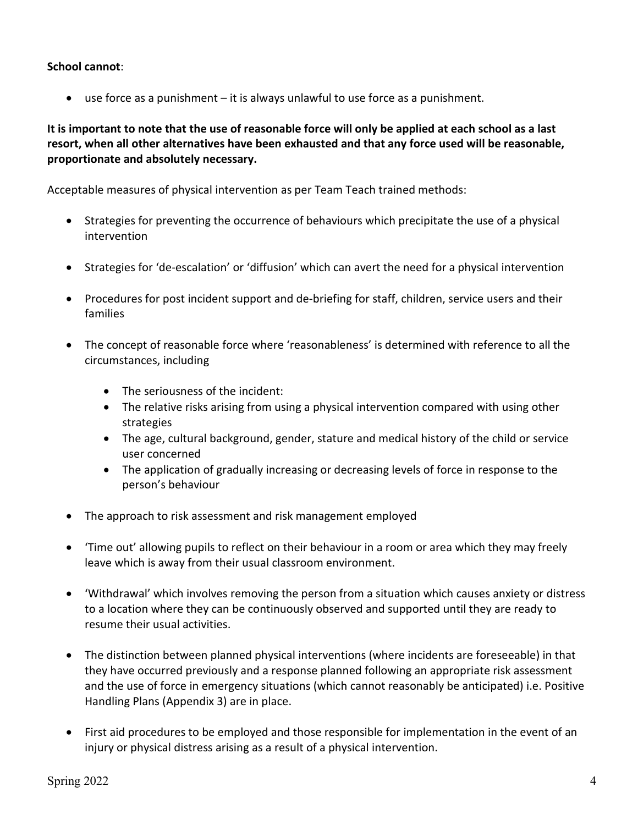**School cannot**:

• use force as a punishment – it is always unlawful to use force as a punishment.

**It is important to note that the use of reasonable force will only be applied at each school as a last resort, when all other alternatives have been exhausted and that any force used will be reasonable, proportionate and absolutely necessary.**

Acceptable measures of physical intervention as per Team Teach trained methods:

- Strategies for preventing the occurrence of behaviours which precipitate the use of a physical intervention
- Strategies for 'de-escalation' or 'diffusion' which can avert the need for a physical intervention
- Procedures for post incident support and de-briefing for staff, children, service users and their families
- The concept of reasonable force where 'reasonableness' is determined with reference to all the circumstances, including
	- The seriousness of the incident:
	- The relative risks arising from using a physical intervention compared with using other strategies
	- The age, cultural background, gender, stature and medical history of the child or service user concerned
	- The application of gradually increasing or decreasing levels of force in response to the person's behaviour
- The approach to risk assessment and risk management employed
- 'Time out' allowing pupils to reflect on their behaviour in a room or area which they may freely leave which is away from their usual classroom environment.
- 'Withdrawal' which involves removing the person from a situation which causes anxiety or distress to a location where they can be continuously observed and supported until they are ready to resume their usual activities.
- The distinction between planned physical interventions (where incidents are foreseeable) in that they have occurred previously and a response planned following an appropriate risk assessment and the use of force in emergency situations (which cannot reasonably be anticipated) i.e. Positive Handling Plans (Appendix 3) are in place.
- First aid procedures to be employed and those responsible for implementation in the event of an injury or physical distress arising as a result of a physical intervention.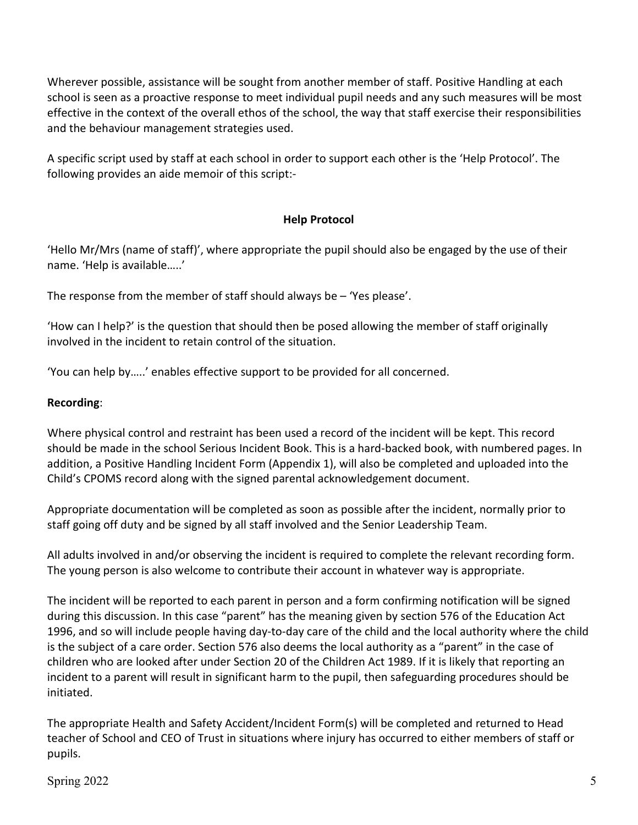Wherever possible, assistance will be sought from another member of staff. Positive Handling at each school is seen as a proactive response to meet individual pupil needs and any such measures will be most effective in the context of the overall ethos of the school, the way that staff exercise their responsibilities and the behaviour management strategies used.

A specific script used by staff at each school in order to support each other is the 'Help Protocol'. The following provides an aide memoir of this script:-

#### **Help Protocol**

'Hello Mr/Mrs (name of staff)', where appropriate the pupil should also be engaged by the use of their name. 'Help is available…..'

The response from the member of staff should always be – 'Yes please'.

'How can I help?' is the question that should then be posed allowing the member of staff originally involved in the incident to retain control of the situation.

'You can help by…..' enables effective support to be provided for all concerned.

#### **Recording**:

Where physical control and restraint has been used a record of the incident will be kept. This record should be made in the school Serious Incident Book. This is a hard-backed book, with numbered pages. In addition, a Positive Handling Incident Form (Appendix 1), will also be completed and uploaded into the Child's CPOMS record along with the signed parental acknowledgement document.

Appropriate documentation will be completed as soon as possible after the incident, normally prior to staff going off duty and be signed by all staff involved and the Senior Leadership Team.

All adults involved in and/or observing the incident is required to complete the relevant recording form. The young person is also welcome to contribute their account in whatever way is appropriate.

The incident will be reported to each parent in person and a form confirming notification will be signed during this discussion. In this case "parent" has the meaning given by section 576 of the Education Act 1996, and so will include people having day-to-day care of the child and the local authority where the child is the subject of a care order. Section 576 also deems the local authority as a "parent" in the case of children who are looked after under Section 20 of the Children Act 1989. If it is likely that reporting an incident to a parent will result in significant harm to the pupil, then safeguarding procedures should be initiated.

The appropriate Health and Safety Accident/Incident Form(s) will be completed and returned to Head teacher of School and CEO of Trust in situations where injury has occurred to either members of staff or pupils.

 $Spring 2022$   $5$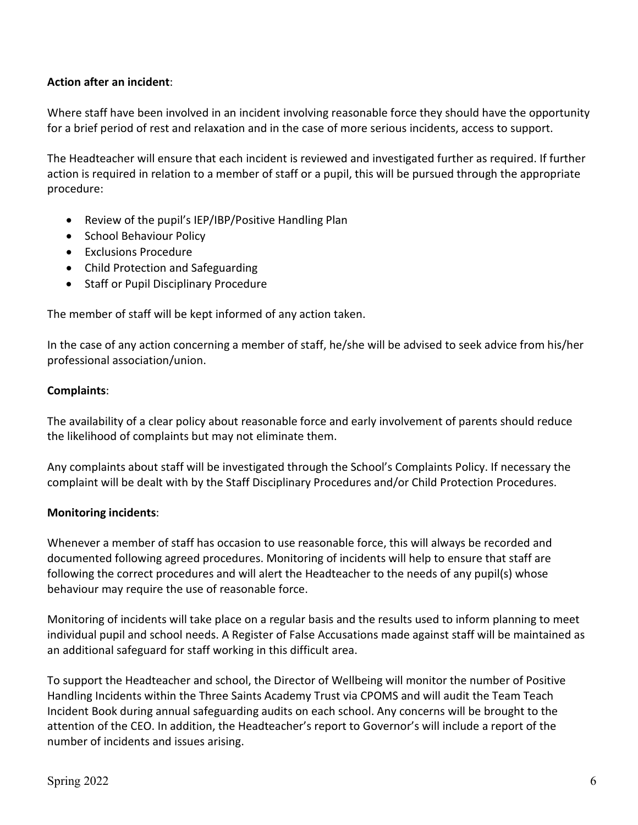#### **Action after an incident**:

Where staff have been involved in an incident involving reasonable force they should have the opportunity for a brief period of rest and relaxation and in the case of more serious incidents, access to support.

The Headteacher will ensure that each incident is reviewed and investigated further as required. If further action is required in relation to a member of staff or a pupil, this will be pursued through the appropriate procedure:

- Review of the pupil's IEP/IBP/Positive Handling Plan
- School Behaviour Policy
- Exclusions Procedure
- Child Protection and Safeguarding
- Staff or Pupil Disciplinary Procedure

The member of staff will be kept informed of any action taken.

In the case of any action concerning a member of staff, he/she will be advised to seek advice from his/her professional association/union.

#### **Complaints**:

The availability of a clear policy about reasonable force and early involvement of parents should reduce the likelihood of complaints but may not eliminate them.

Any complaints about staff will be investigated through the School's Complaints Policy. If necessary the complaint will be dealt with by the Staff Disciplinary Procedures and/or Child Protection Procedures.

#### **Monitoring incidents**:

Whenever a member of staff has occasion to use reasonable force, this will always be recorded and documented following agreed procedures. Monitoring of incidents will help to ensure that staff are following the correct procedures and will alert the Headteacher to the needs of any pupil(s) whose behaviour may require the use of reasonable force.

Monitoring of incidents will take place on a regular basis and the results used to inform planning to meet individual pupil and school needs. A Register of False Accusations made against staff will be maintained as an additional safeguard for staff working in this difficult area.

To support the Headteacher and school, the Director of Wellbeing will monitor the number of Positive Handling Incidents within the Three Saints Academy Trust via CPOMS and will audit the Team Teach Incident Book during annual safeguarding audits on each school. Any concerns will be brought to the attention of the CEO. In addition, the Headteacher's report to Governor's will include a report of the number of incidents and issues arising.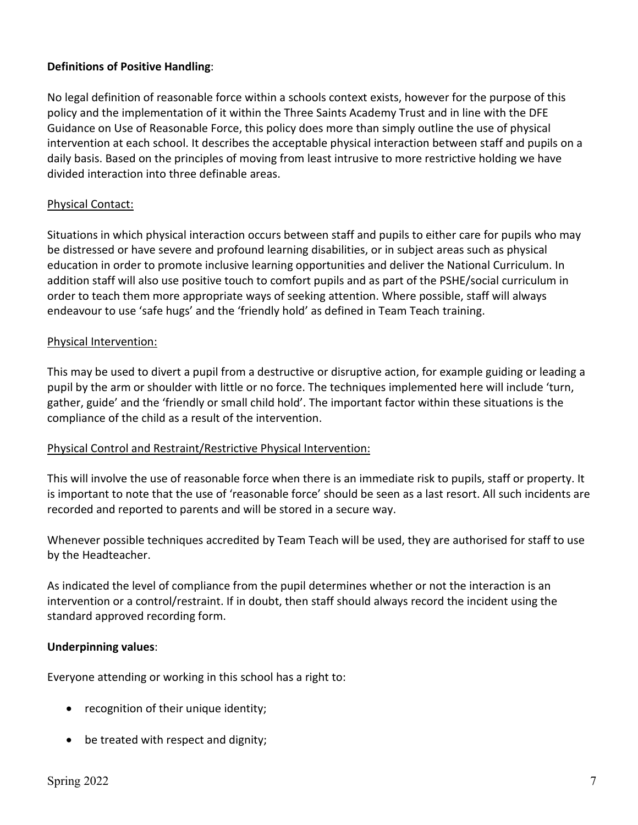#### **Definitions of Positive Handling**:

No legal definition of reasonable force within a schools context exists, however for the purpose of this policy and the implementation of it within the Three Saints Academy Trust and in line with the DFE Guidance on Use of Reasonable Force, this policy does more than simply outline the use of physical intervention at each school. It describes the acceptable physical interaction between staff and pupils on a daily basis. Based on the principles of moving from least intrusive to more restrictive holding we have divided interaction into three definable areas.

#### Physical Contact:

Situations in which physical interaction occurs between staff and pupils to either care for pupils who may be distressed or have severe and profound learning disabilities, or in subject areas such as physical education in order to promote inclusive learning opportunities and deliver the National Curriculum. In addition staff will also use positive touch to comfort pupils and as part of the PSHE/social curriculum in order to teach them more appropriate ways of seeking attention. Where possible, staff will always endeavour to use 'safe hugs' and the 'friendly hold' as defined in Team Teach training.

#### Physical Intervention:

This may be used to divert a pupil from a destructive or disruptive action, for example guiding or leading a pupil by the arm or shoulder with little or no force. The techniques implemented here will include 'turn, gather, guide' and the 'friendly or small child hold'. The important factor within these situations is the compliance of the child as a result of the intervention.

#### Physical Control and Restraint/Restrictive Physical Intervention:

This will involve the use of reasonable force when there is an immediate risk to pupils, staff or property. It is important to note that the use of 'reasonable force' should be seen as a last resort. All such incidents are recorded and reported to parents and will be stored in a secure way.

Whenever possible techniques accredited by Team Teach will be used, they are authorised for staff to use by the Headteacher.

As indicated the level of compliance from the pupil determines whether or not the interaction is an intervention or a control/restraint. If in doubt, then staff should always record the incident using the standard approved recording form.

#### **Underpinning values**:

Everyone attending or working in this school has a right to:

- recognition of their unique identity;
- be treated with respect and dignity;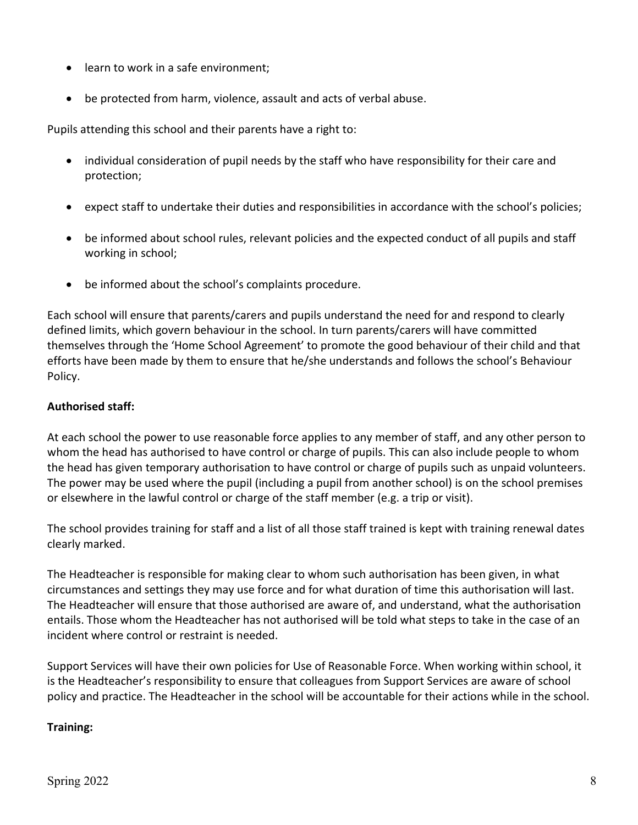- learn to work in a safe environment;
- be protected from harm, violence, assault and acts of verbal abuse.

Pupils attending this school and their parents have a right to:

- individual consideration of pupil needs by the staff who have responsibility for their care and protection;
- expect staff to undertake their duties and responsibilities in accordance with the school's policies;
- be informed about school rules, relevant policies and the expected conduct of all pupils and staff working in school;
- be informed about the school's complaints procedure.

Each school will ensure that parents/carers and pupils understand the need for and respond to clearly defined limits, which govern behaviour in the school. In turn parents/carers will have committed themselves through the 'Home School Agreement' to promote the good behaviour of their child and that efforts have been made by them to ensure that he/she understands and follows the school's Behaviour Policy.

#### **Authorised staff:**

At each school the power to use reasonable force applies to any member of staff, and any other person to whom the head has authorised to have control or charge of pupils. This can also include people to whom the head has given temporary authorisation to have control or charge of pupils such as unpaid volunteers. The power may be used where the pupil (including a pupil from another school) is on the school premises or elsewhere in the lawful control or charge of the staff member (e.g. a trip or visit).

The school provides training for staff and a list of all those staff trained is kept with training renewal dates clearly marked.

The Headteacher is responsible for making clear to whom such authorisation has been given, in what circumstances and settings they may use force and for what duration of time this authorisation will last. The Headteacher will ensure that those authorised are aware of, and understand, what the authorisation entails. Those whom the Headteacher has not authorised will be told what steps to take in the case of an incident where control or restraint is needed.

Support Services will have their own policies for Use of Reasonable Force. When working within school, it is the Headteacher's responsibility to ensure that colleagues from Support Services are aware of school policy and practice. The Headteacher in the school will be accountable for their actions while in the school.

#### **Training:**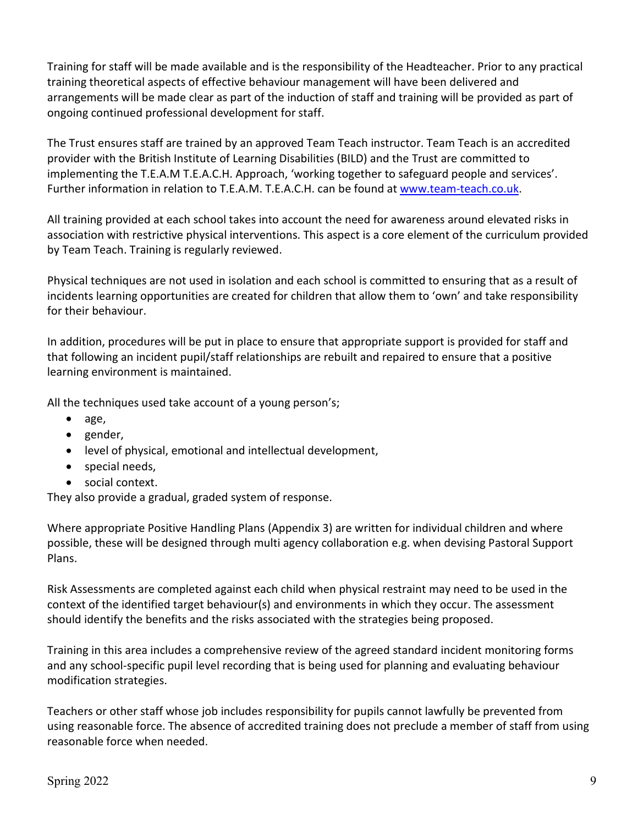Training for staff will be made available and is the responsibility of the Headteacher. Prior to any practical training theoretical aspects of effective behaviour management will have been delivered and arrangements will be made clear as part of the induction of staff and training will be provided as part of ongoing continued professional development for staff.

The Trust ensures staff are trained by an approved Team Teach instructor. Team Teach is an accredited provider with the British Institute of Learning Disabilities (BILD) and the Trust are committed to implementing the T.E.A.M T.E.A.C.H. Approach, 'working together to safeguard people and services'. Further information in relation to T.E.A.M. T.E.A.C.H. can be found at [www.team-teach.co.uk.](http://www.team-teach.co.uk/)

All training provided at each school takes into account the need for awareness around elevated risks in association with restrictive physical interventions. This aspect is a core element of the curriculum provided by Team Teach. Training is regularly reviewed.

Physical techniques are not used in isolation and each school is committed to ensuring that as a result of incidents learning opportunities are created for children that allow them to 'own' and take responsibility for their behaviour.

In addition, procedures will be put in place to ensure that appropriate support is provided for staff and that following an incident pupil/staff relationships are rebuilt and repaired to ensure that a positive learning environment is maintained.

All the techniques used take account of a young person's;

- age,
- gender,
- level of physical, emotional and intellectual development,
- special needs,
- social context.

They also provide a gradual, graded system of response.

Where appropriate Positive Handling Plans (Appendix 3) are written for individual children and where possible, these will be designed through multi agency collaboration e.g. when devising Pastoral Support Plans.

Risk Assessments are completed against each child when physical restraint may need to be used in the context of the identified target behaviour(s) and environments in which they occur. The assessment should identify the benefits and the risks associated with the strategies being proposed.

Training in this area includes a comprehensive review of the agreed standard incident monitoring forms and any school-specific pupil level recording that is being used for planning and evaluating behaviour modification strategies.

Teachers or other staff whose job includes responsibility for pupils cannot lawfully be prevented from using reasonable force. The absence of accredited training does not preclude a member of staff from using reasonable force when needed.